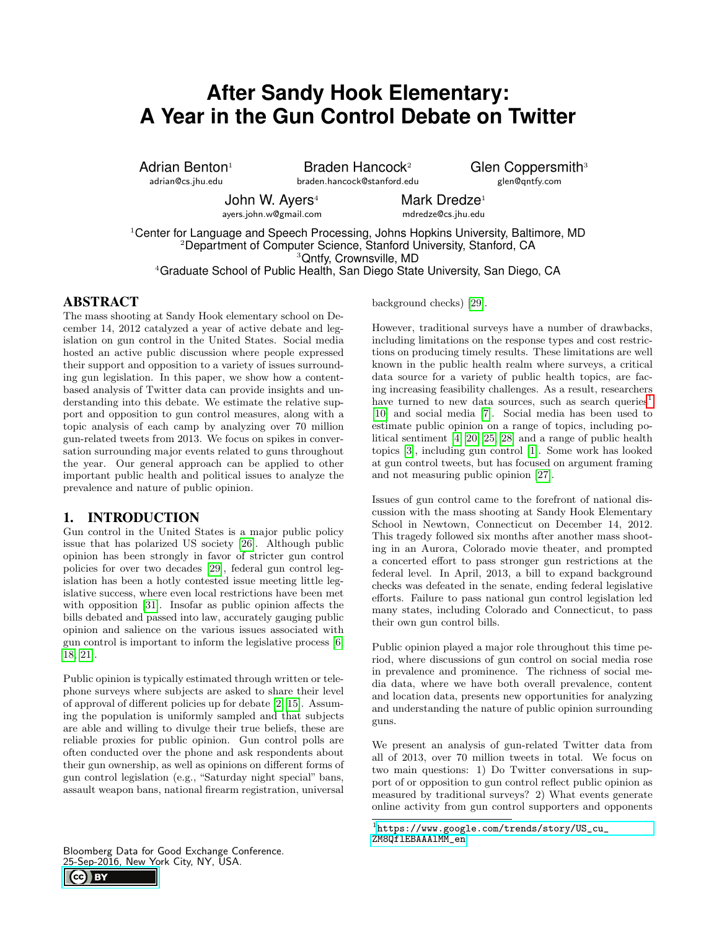# **After Sandy Hook Elementary: A Year in the Gun Control Debate on Twitter**

Adrian Benton $1$ adrian@cs.jhu.edu

Braden Hancock<sup>2</sup> braden.hancock@stanford.edu Glen Coppersmith<sup>3</sup> glen@qntfy.com

John W. Ayers<sup>4</sup> ayers.john.w@gmail.com Mark Dredze<sup>1</sup> mdredze@cs.jhu.edu

Center for Language and Speech Processing, Johns Hopkins University, Baltimore, MD Department of Computer Science, Stanford University, Stanford, CA Qntfy, Crownsville, MD Graduate School of Public Health, San Diego State University, San Diego, CA

# ABSTRACT

The mass shooting at Sandy Hook elementary school on December 14, 2012 catalyzed a year of active debate and legislation on gun control in the United States. Social media hosted an active public discussion where people expressed their support and opposition to a variety of issues surrounding gun legislation. In this paper, we show how a contentbased analysis of Twitter data can provide insights and understanding into this debate. We estimate the relative support and opposition to gun control measures, along with a topic analysis of each camp by analyzing over 70 million gun-related tweets from 2013. We focus on spikes in conversation surrounding major events related to guns throughout the year. Our general approach can be applied to other important public health and political issues to analyze the prevalence and nature of public opinion.

#### 1. INTRODUCTION

Gun control in the United States is a major public policy issue that has polarized US society [\[26\]](#page-5-0). Although public opinion has been strongly in favor of stricter gun control policies for over two decades [\[29\]](#page-5-1), federal gun control legislation has been a hotly contested issue meeting little legislative success, where even local restrictions have been met with opposition [\[31\]](#page-5-2). Insofar as public opinion affects the bills debated and passed into law, accurately gauging public opinion and salience on the various issues associated with gun control is important to inform the legislative process [\[6,](#page-4-0) [18,](#page-5-3) [21\]](#page-5-4).

Public opinion is typically estimated through written or telephone surveys where subjects are asked to share their level of approval of different policies up for debate [\[2,](#page-4-1) [15\]](#page-5-5). Assuming the population is uniformly sampled and that subjects are able and willing to divulge their true beliefs, these are reliable proxies for public opinion. Gun control polls are often conducted over the phone and ask respondents about their gun ownership, as well as opinions on different forms of gun control legislation (e.g., "Saturday night special" bans, assault weapon bans, national firearm registration, universal

Bloomberg Data for Good Exchange Conference. [25-Sep-2016, New Yo](https://creativecommons.org/licenses/by/4.0/)rk City, NY, USA.

background checks) [\[29\]](#page-5-1).

However, traditional surveys have a number of drawbacks, including limitations on the response types and cost restrictions on producing timely results. These limitations are well known in the public health realm where surveys, a critical data source for a variety of public health topics, are facing increasing feasibility challenges. As a result, researchers have turned to new data sources, such as search queries<sup>[1](#page-0-0)</sup> [\[10\]](#page-5-6) and social media [\[7\]](#page-4-2). Social media has been used to estimate public opinion on a range of topics, including political sentiment [\[4,](#page-4-3) [20,](#page-5-7) [25,](#page-5-8) [28\]](#page-5-9) and a range of public health topics [\[3\]](#page-4-4), including gun control [\[1\]](#page-4-5). Some work has looked at gun control tweets, but has focused on argument framing and not measuring public opinion [\[27\]](#page-5-10).

Issues of gun control came to the forefront of national discussion with the mass shooting at Sandy Hook Elementary School in Newtown, Connecticut on December 14, 2012. This tragedy followed six months after another mass shooting in an Aurora, Colorado movie theater, and prompted a concerted effort to pass stronger gun restrictions at the federal level. In April, 2013, a bill to expand background checks was defeated in the senate, ending federal legislative efforts. Failure to pass national gun control legislation led many states, including Colorado and Connecticut, to pass their own gun control bills.

Public opinion played a major role throughout this time period, where discussions of gun control on social media rose in prevalence and prominence. The richness of social media data, where we have both overall prevalence, content and location data, presents new opportunities for analyzing and understanding the nature of public opinion surrounding guns.

We present an analysis of gun-related Twitter data from all of 2013, over 70 million tweets in total. We focus on two main questions: 1) Do Twitter conversations in support of or opposition to gun control reflect public opinion as measured by traditional surveys? 2) What events generate online activity from gun control supporters and opponents



<span id="page-0-0"></span> $^1$ [https://www.google.com/trends/story/US\\_cu\\_](https://www.google.com/trends/story/US_cu_ZM8QflEBAAAlMM_en) [ZM8QflEBAAAlMM\\_en](https://www.google.com/trends/story/US_cu_ZM8QflEBAAAlMM_en)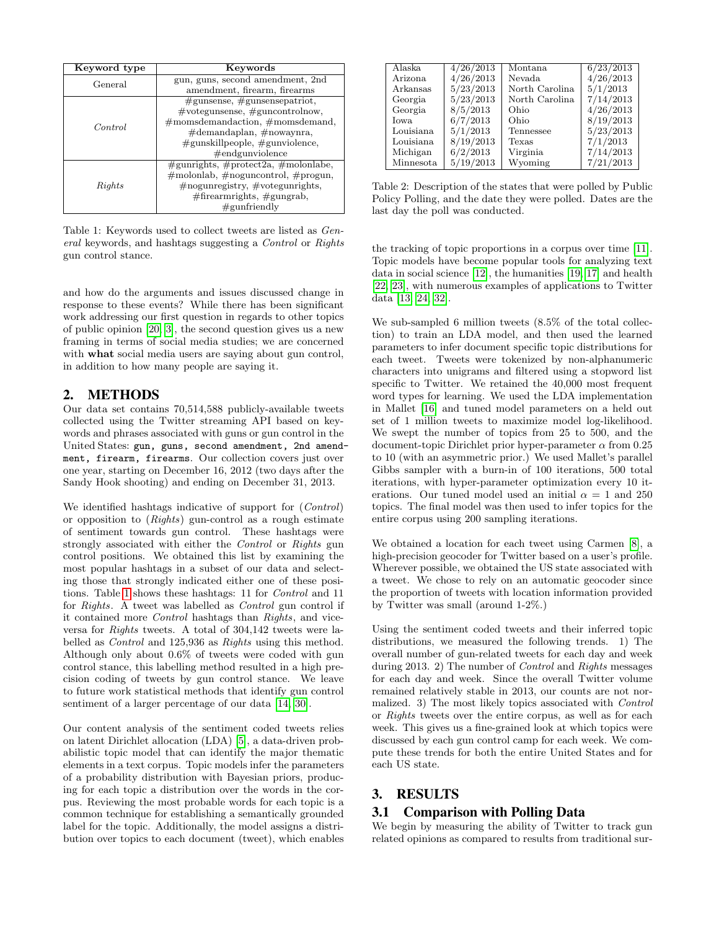<span id="page-1-0"></span>

| Keyword type   | Keywords                                        |  |  |
|----------------|-------------------------------------------------|--|--|
| General        | gun, guns, second amendment, 2nd                |  |  |
|                | amendment, firearm, firearms                    |  |  |
|                | $# \text{gunsense}, \# \text{gunsense}$         |  |  |
|                | #votegunsense, #guncontrolnow,                  |  |  |
| <i>Control</i> | $\#$ momsdemandaction, $\#$ momsdemand,         |  |  |
|                | #demandaplan, #nowaynra,                        |  |  |
|                | $\#$ gunskillpeople, $\#$ gunviolence,          |  |  |
|                | $\#$ endgunviolence                             |  |  |
|                | $\#$ gunrights, $\#$ protect2a, $\#$ molonlabe, |  |  |
|                | $\#$ molonlab, $\#$ noguncontrol, $\#$ progun,  |  |  |
| Rights         | $\#$ nogunregistry, $\#$ votegunrights,         |  |  |
|                | $\#$ firearmrights, $\#$ gungrab,               |  |  |
|                | $\#\text{gunfriendly}$                          |  |  |

Table 1: Keywords used to collect tweets are listed as General keywords, and hashtags suggesting a Control or Rights gun control stance.

and how do the arguments and issues discussed change in response to these events? While there has been significant work addressing our first question in regards to other topics of public opinion [\[20,](#page-5-7) [3\]](#page-4-4), the second question gives us a new framing in terms of social media studies; we are concerned with what social media users are saying about gun control, in addition to how many people are saying it.

# 2. METHODS

Our data set contains 70,514,588 publicly-available tweets collected using the Twitter streaming API based on keywords and phrases associated with guns or gun control in the United States: gun, guns, second amendment, 2nd amendment, firearm, firearms. Our collection covers just over one year, starting on December 16, 2012 (two days after the Sandy Hook shooting) and ending on December 31, 2013.

We identified hashtags indicative of support for (Control) or opposition to (Rights) gun-control as a rough estimate of sentiment towards gun control. These hashtags were strongly associated with either the Control or Rights gun control positions. We obtained this list by examining the most popular hashtags in a subset of our data and selecting those that strongly indicated either one of these positions. Table [1](#page-1-0) shows these hashtags: 11 for Control and 11 for Rights. A tweet was labelled as Control gun control if it contained more Control hashtags than Rights, and viceversa for Rights tweets. A total of 304,142 tweets were labelled as Control and 125,936 as Rights using this method. Although only about 0.6% of tweets were coded with gun control stance, this labelling method resulted in a high precision coding of tweets by gun control stance. We leave to future work statistical methods that identify gun control sentiment of a larger percentage of our data [\[14,](#page-5-11) [30\]](#page-5-12).

Our content analysis of the sentiment coded tweets relies on latent Dirichlet allocation (LDA) [\[5\]](#page-4-6), a data-driven probabilistic topic model that can identify the major thematic elements in a text corpus. Topic models infer the parameters of a probability distribution with Bayesian priors, producing for each topic a distribution over the words in the corpus. Reviewing the most probable words for each topic is a common technique for establishing a semantically grounded label for the topic. Additionally, the model assigns a distribution over topics to each document (tweet), which enables

<span id="page-1-1"></span>

| Alaska    | 4/26/2013 | Montana        | 6/23/2013 |
|-----------|-----------|----------------|-----------|
| Arizona.  | 4/26/2013 | Nevada         | 4/26/2013 |
| Arkansas  | 5/23/2013 | North Carolina | 5/1/2013  |
| Georgia   | 5/23/2013 | North Carolina | 7/14/2013 |
| Georgia   | 8/5/2013  | Ohio           | 4/26/2013 |
| Iowa.     | 6/7/2013  | Ohio           | 8/19/2013 |
| Louisiana | 5/1/2013  | Tennessee      | 5/23/2013 |
| Louisiana | 8/19/2013 | Texas          | 7/1/2013  |
| Michigan  | 6/2/2013  | Virginia       | 7/14/2013 |
| Minnesota | 5/19/2013 | Wyoming        | 7/21/2013 |

Table 2: Description of the states that were polled by Public Policy Polling, and the date they were polled. Dates are the last day the poll was conducted.

the tracking of topic proportions in a corpus over time [\[11\]](#page-5-13). Topic models have become popular tools for analyzing text data in social science [\[12\]](#page-5-14), the humanities [\[19,](#page-5-15) [17\]](#page-5-16) and health [\[22,](#page-5-17) [23\]](#page-5-18), with numerous examples of applications to Twitter data [\[13,](#page-5-19) [24,](#page-5-20) [32\]](#page-5-21).

We sub-sampled 6 million tweets (8.5% of the total collection) to train an LDA model, and then used the learned parameters to infer document specific topic distributions for each tweet. Tweets were tokenized by non-alphanumeric characters into unigrams and filtered using a stopword list specific to Twitter. We retained the 40,000 most frequent word types for learning. We used the LDA implementation in Mallet [\[16\]](#page-5-22) and tuned model parameters on a held out set of 1 million tweets to maximize model log-likelihood. We swept the number of topics from 25 to 500, and the document-topic Dirichlet prior hyper-parameter  $\alpha$  from 0.25 to 10 (with an asymmetric prior.) We used Mallet's parallel Gibbs sampler with a burn-in of 100 iterations, 500 total iterations, with hyper-parameter optimization every 10 iterations. Our tuned model used an initial  $\alpha = 1$  and 250 topics. The final model was then used to infer topics for the entire corpus using 200 sampling iterations.

We obtained a location for each tweet using Carmen [\[8\]](#page-4-7), a high-precision geocoder for Twitter based on a user's profile. Wherever possible, we obtained the US state associated with a tweet. We chose to rely on an automatic geocoder since the proportion of tweets with location information provided by Twitter was small (around 1-2%.)

Using the sentiment coded tweets and their inferred topic distributions, we measured the following trends. 1) The overall number of gun-related tweets for each day and week during 2013. 2) The number of Control and Rights messages for each day and week. Since the overall Twitter volume remained relatively stable in 2013, our counts are not normalized. 3) The most likely topics associated with Control or Rights tweets over the entire corpus, as well as for each week. This gives us a fine-grained look at which topics were discussed by each gun control camp for each week. We compute these trends for both the entire United States and for each US state.

# 3. RESULTS

# 3.1 Comparison with Polling Data

We begin by measuring the ability of Twitter to track gun related opinions as compared to results from traditional sur-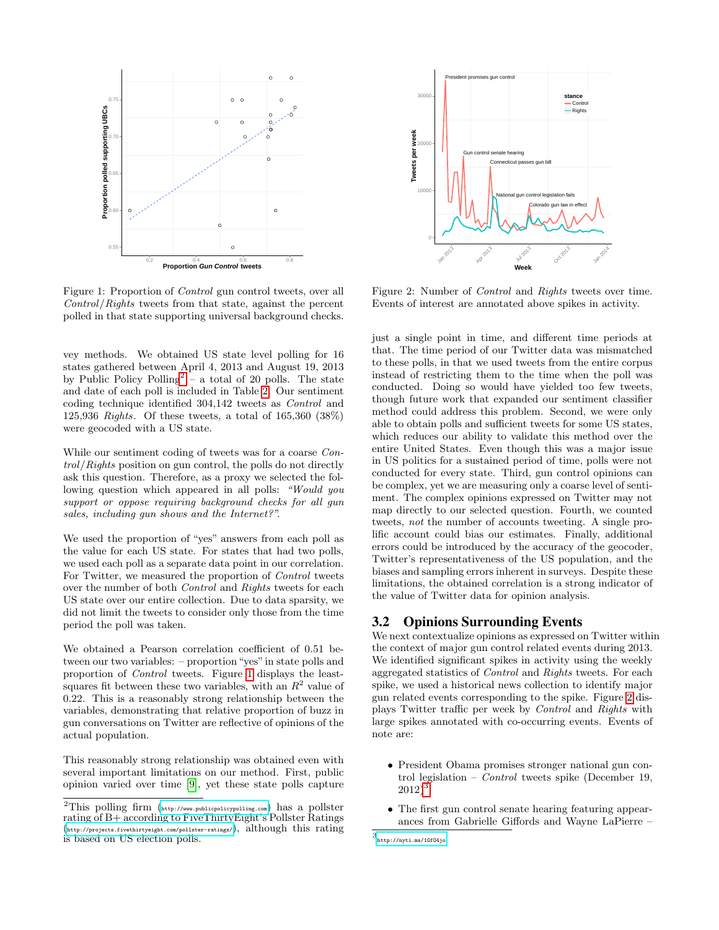<span id="page-2-1"></span>

Figure 1: Proportion of Control gun control tweets, over all Control/Rights tweets from that state, against the percent polled in that state supporting universal background checks.

vey methods. We obtained US state level polling for 16 states gathered between April 4, 2013 and August 19, 2013 by Public Policy Polling<sup>[2](#page-2-0)</sup> – a total of 20 polls. The state and date of each poll is included in Table [2.](#page-1-1) Our sentiment coding technique identified 304,142 tweets as Control and 125,936 Rights. Of these tweets, a total of 165,360 (38%) were geocoded with a US state.

While our sentiment coding of tweets was for a coarse Control/Rights position on gun control, the polls do not directly ask this question. Therefore, as a proxy we selected the following question which appeared in all polls: "Would you support or oppose requiring background checks for all gun sales, including gun shows and the Internet?".

We used the proportion of "yes" answers from each poll as the value for each US state. For states that had two polls, we used each poll as a separate data point in our correlation. For Twitter, we measured the proportion of Control tweets over the number of both Control and Rights tweets for each US state over our entire collection. Due to data sparsity, we did not limit the tweets to consider only those from the time period the poll was taken.

We obtained a Pearson correlation coefficient of 0.51 between our two variables: – proportion "yes"in state polls and proportion of Control tweets. Figure [1](#page-2-1) displays the leastsquares fit between these two variables, with an  $R^2$  value of 0.22. This is a reasonably strong relationship between the variables, demonstrating that relative proportion of buzz in gun conversations on Twitter are reflective of opinions of the actual population.

This reasonably strong relationship was obtained even with several important limitations on our method. First, public opinion varied over time [\[9\]](#page-5-23), yet these state polls capture

<span id="page-2-2"></span>

Figure 2: Number of Control and Rights tweets over time. Events of interest are annotated above spikes in activity.

just a single point in time, and different time periods at that. The time period of our Twitter data was mismatched to these polls, in that we used tweets from the entire corpus instead of restricting them to the time when the poll was conducted. Doing so would have yielded too few tweets, though future work that expanded our sentiment classifier method could address this problem. Second, we were only able to obtain polls and sufficient tweets for some US states, which reduces our ability to validate this method over the entire United States. Even though this was a major issue in US politics for a sustained period of time, polls were not conducted for every state. Third, gun control opinions can be complex, yet we are measuring only a coarse level of sentiment. The complex opinions expressed on Twitter may not map directly to our selected question. Fourth, we counted tweets, not the number of accounts tweeting. A single prolific account could bias our estimates. Finally, additional errors could be introduced by the accuracy of the geocoder, Twitter's representativeness of the US population, and the biases and sampling errors inherent in surveys. Despite these limitations, the obtained correlation is a strong indicator of the value of Twitter data for opinion analysis.

#### 3.2 Opinions Surrounding Events

We next contextualize opinions as expressed on Twitter within the context of major gun control related events during 2013. We identified significant spikes in activity using the weekly aggregated statistics of Control and Rights tweets. For each spike, we used a historical news collection to identify major gun related events corresponding to the spike. Figure [2](#page-2-2) displays Twitter traffic per week by Control and Rights with large spikes annotated with co-occurring events. Events of note are:

- President Obama promises stronger national gun control legislation – *Control* tweets spike (December 19,  $2012)^3$  $2012)^3$ .
- The first gun control senate hearing featuring appearances from Gabrielle Giffords and Wayne LaPierre –

<span id="page-2-0"></span><sup>&</sup>lt;sup>2</sup>This polling firm  $\left( \text{http://www.publicpolicypolling.com} \right)$  $\left( \text{http://www.publicpolicypolling.com} \right)$  $\left( \text{http://www.publicpolicypolling.com} \right)$  has a pollster rating of B+ according to FiveThirtyEight's Pollster Ratings (<http://projects.fivethirtyeight.com/pollster-ratings/>), although this rating is based on US election polls.

<span id="page-2-3"></span><sup>3</sup> <http://nyti.ms/1GfO4jo>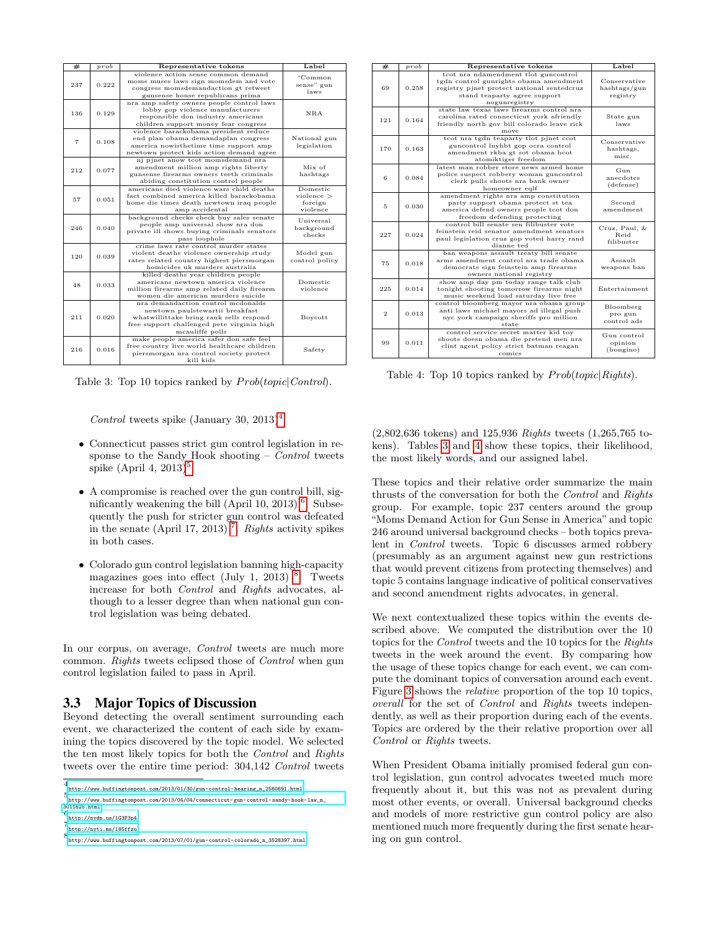<span id="page-3-5"></span>

| #   | prob  | Representative tokens                                                                                                                                                              | Label                                           |
|-----|-------|------------------------------------------------------------------------------------------------------------------------------------------------------------------------------------|-------------------------------------------------|
| 237 | 0.222 | violence action sense common demand<br>moms muses laws sign momsdem and vote<br>congress momsdemandaction gt retweet<br>gunsense house republicans prima                           | "Common<br>sense" gun<br>laws                   |
| 136 | 0.129 | nra amp safety owners people control laws<br>lobby gop violence manufacturers<br>responsible don industry americans<br>children support money fear congress                        | NRA                                             |
| 7   | 0.108 | violence barackobama president reduce<br>end plan obama demandaplan congress<br>america nowisthetime time support amp<br>newtown protect kids action demand agree                  | National gun<br>legislation                     |
| 212 | 0.077 | nj pjnet anow tcot momsdemand nra<br>amendment million amp rights liberty<br>gunsense firearms owners teeth criminals<br>abiding constitution control people                       | Mix of<br>hashtags                              |
| 57  | 0.051 | americans died violence wars child deaths<br>fact combined america killed barackobama<br>home die times death newtown iraq people<br>amp accidental                                | Domestic<br>$violence$ ><br>foreign<br>violence |
| 246 | 0.040 | background checks check buy sales senate<br>people amp universal show nra don<br>private ill shows buying criminals senators<br>pass loophole                                      | Universal<br>background<br>checks               |
| 120 | 0.039 | crime laws rate control murder states<br>violent deaths violence ownership study<br>rates related country highest piersmorgan<br>homicides uk murders australia                    | Model gun<br>control policy                     |
| 48  | 0.033 | killed deaths year children people<br>americans newtown america violence<br>million firearms amp related daily firearm<br>women die american murders suicide                       | Domestic<br>violence                            |
| 211 | 0.020 | nra demandaction control medonalds<br>newtown paulstewartii breakfast<br>what willittake bring rank sells respond<br>free support challenged pete virginia high<br>mcauliffe polls | Boycott                                         |
| 216 | 0.016 | make people america safer don safe feel<br>free country live world healthcare children<br>piersmorgan nra control society protect<br>kill kids                                     | Safety                                          |

Table 3: Top 10 topics ranked by  $Prob(topic|Control)$ .

Control tweets spike (January 30, 2013)<sup>[4](#page-3-0)</sup>.

- Connecticut passes strict gun control legislation in response to the Sandy Hook shooting  $-$  Control tweets spike  $(Apri1 4, 2013)^5$  $(Apri1 4, 2013)^5$ .
- A compromise is reached over the gun control bill, sig-nificantly weakening the bill (April 10, 2013)<sup>[6](#page-3-2)</sup>. Subsequently the push for stricter gun control was defeated in the senate (April 1[7](#page-3-3), 2013)<sup>7</sup>. Rights activity spikes in both cases.
- Colorado gun control legislation banning high-capacity magazines goes into effect (July 1, 2013)  $8$ . Tweets increase for both Control and Rights advocates, although to a lesser degree than when national gun control legislation was being debated.

In our corpus, on average, *Control* tweets are much more common. Rights tweets eclipsed those of Control when gun control legislation failed to pass in April.

# 3.3 Major Topics of Discussion

Beyond detecting the overall sentiment surrounding each event, we characterized the content of each side by examining the topics discovered by the topic model. We selected the ten most likely topics for both the Control and Rights tweets over the entire time period: 304,142 Control tweets

<span id="page-3-6"></span>

| #              | $_{prob}$ | Representative tokens                                                                                                                                                         | Label                                      |  |
|----------------|-----------|-------------------------------------------------------------------------------------------------------------------------------------------------------------------------------|--------------------------------------------|--|
| 69             | 0.258     | tcot nra ndamendment tlot guncontrol<br>tgdn control gunrights obama amendment<br>registry pjnet protect national sentedcruz<br>stand teaparty agree support<br>nogunregistry | Conservative<br>hashtags/gun<br>registry   |  |
| 121            | 0.164     | state law texas laws firearms control nra<br>carolina rated connecticut vork afriendly<br>friendly north gov bill colorado leave rick<br>move                                 | State gun<br>laws                          |  |
| 170            | 0.163     | tcot nra tgdn teaparty tlot pjnet ccot<br>guncontrol lnyhbt gop ocra control<br>amendment rkba gt sot obama bcot<br>atomiktiger freedom                                       | Conservative<br>hashtags,<br>misc.         |  |
| 6              | 0.084     | latest man robber store news armed home<br>police suspect robbery woman guncontrol<br>clerk pulls shoots nra bank owner<br>homeowner eqlf                                     | G <sub>11n</sub><br>anecdotes<br>(defense) |  |
| 5              | 0.030     | amendment rights nra amp constitution<br>party support obama protect st tea<br>america defend owners people tcot don<br>freedom defending protecting                          | Second<br>amendment                        |  |
| 227            | 0.024     | control bill senate sen filibuster vote<br>feinstein reid senator amendment senators<br>paul legislation cruz gop voted harry rand<br>dianne ted                              | Cruz, Paul, &<br><b>Beid</b><br>filibuster |  |
| 75             | 0.018     | ban weapons assault treaty bill senate<br>arms amendment control nra trade obama<br>democrats sign feinstein amp firearms<br>owners national registry                         | Assault<br>weapons ban                     |  |
| 225            | 0.014     | show amp day pm today range talk club<br>tonight shooting tomorrow firearms night<br>music weekend load saturday live free                                                    | Entertainment                              |  |
| $\overline{2}$ | 0.013     | control bloomberg mayor nra obama group<br>anti laws michael mayors ad illegal push<br>nyc york campaign sheriffs pro million<br>state                                        | Bloomberg<br>pro gun<br>control ads        |  |
| 99             | 0.011     | control service secret matter kid toy<br>shoots doesn obama die pretend men nra<br>clint agent policy strict batman reagan<br>comics                                          | Gun control<br>opinion<br>(bongino)        |  |

Table 4: Top 10 topics ranked by  $Prob(topic|Rights)$ .

(2,802,636 tokens) and 125,936 Rights tweets (1,265,765 tokens). Tables [3](#page-3-5) and [4](#page-3-6) show these topics, their likelihood, the most likely words, and our assigned label.

These topics and their relative order summarize the main thrusts of the conversation for both the Control and Rights group. For example, topic 237 centers around the group "Moms Demand Action for Gun Sense in America" and topic 246 around universal background checks – both topics prevalent in Control tweets. Topic 6 discusses armed robbery (presumably as an argument against new gun restrictions that would prevent citizens from protecting themselves) and topic 5 contains language indicative of political conservatives and second amendment rights advocates, in general.

We next contextualized these topics within the events described above. We computed the distribution over the 10 topics for the Control tweets and the 10 topics for the Rights tweets in the week around the event. By comparing how the usage of these topics change for each event, we can compute the dominant topics of conversation around each event. Figure [3](#page-4-8) shows the relative proportion of the top 10 topics, overall for the set of Control and Rights tweets independently, as well as their proportion during each of the events. Topics are ordered by the their relative proportion over all Control or Rights tweets.

When President Obama initially promised federal gun control legislation, gun control advocates tweeted much more frequently about it, but this was not as prevalent during most other events, or overall. Universal background checks and models of more restrictive gun control policy are also mentioned much more frequently during the first senate hearing on gun control.

<span id="page-3-0"></span><sup>4</sup> [http://www.huffingtonpost.com/2013/01/30/gun-control-hearing\\_n\\_2580691.html](http://www.huffingtonpost.com/2013/01/30/gun-control-hearing_n_2580691.html)

<span id="page-3-1"></span><sup>5</sup> [http://www.huffingtonpost.com/2013/04/04/connecticut-gun-control-sandy-hook-law\\_n\\_](http://www.huffingtonpost.com/2013/04/04/connecticut-gun-control-sandy-hook-law_n_3011625.html) [3011625.html](http://www.huffingtonpost.com/2013/04/04/connecticut-gun-control-sandy-hook-law_n_3011625.html) 6 <http://nydn.us/1G3P3p4>

<span id="page-3-3"></span><span id="page-3-2"></span><sup>7</sup> <http://nyti.ms/185ffzu>

<span id="page-3-4"></span>

<sup>8</sup> [http://www.huffingtonpost.com/2013/07/01/gun-control-colorado\\_n\\_3528397.html](http://www.huffingtonpost.com/2013/07/01/gun-control-colorado_n_3528397.html)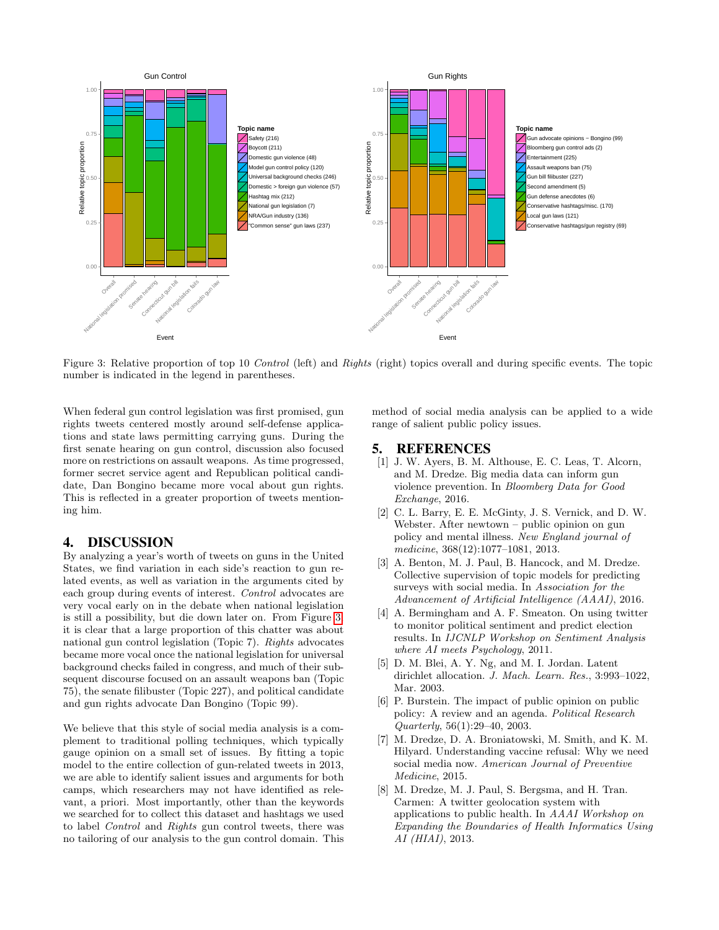<span id="page-4-8"></span>

Figure 3: Relative proportion of top 10 Control (left) and Rights (right) topics overall and during specific events. The topic number is indicated in the legend in parentheses.

When federal gun control legislation was first promised, gun rights tweets centered mostly around self-defense applications and state laws permitting carrying guns. During the first senate hearing on gun control, discussion also focused more on restrictions on assault weapons. As time progressed, former secret service agent and Republican political candidate, Dan Bongino became more vocal about gun rights. This is reflected in a greater proportion of tweets mentioning him.

# 4. DISCUSSION

By analyzing a year's worth of tweets on guns in the United States, we find variation in each side's reaction to gun related events, as well as variation in the arguments cited by each group during events of interest. Control advocates are very vocal early on in the debate when national legislation is still a possibility, but die down later on. From Figure [3,](#page-4-8) it is clear that a large proportion of this chatter was about national gun control legislation (Topic 7). Rights advocates became more vocal once the national legislation for universal background checks failed in congress, and much of their subsequent discourse focused on an assault weapons ban (Topic 75), the senate filibuster (Topic 227), and political candidate and gun rights advocate Dan Bongino (Topic 99).

We believe that this style of social media analysis is a complement to traditional polling techniques, which typically gauge opinion on a small set of issues. By fitting a topic model to the entire collection of gun-related tweets in 2013, we are able to identify salient issues and arguments for both camps, which researchers may not have identified as relevant, a priori. Most importantly, other than the keywords we searched for to collect this dataset and hashtags we used to label Control and Rights gun control tweets, there was no tailoring of our analysis to the gun control domain. This method of social media analysis can be applied to a wide range of salient public policy issues.

# 5. REFERENCES

- <span id="page-4-5"></span>[1] J. W. Ayers, B. M. Althouse, E. C. Leas, T. Alcorn, and M. Dredze. Big media data can inform gun violence prevention. In Bloomberg Data for Good Exchange, 2016.
- <span id="page-4-1"></span>[2] C. L. Barry, E. E. McGinty, J. S. Vernick, and D. W. Webster. After newtown – public opinion on gun policy and mental illness. New England journal of medicine, 368(12):1077–1081, 2013.
- <span id="page-4-4"></span>[3] A. Benton, M. J. Paul, B. Hancock, and M. Dredze. Collective supervision of topic models for predicting surveys with social media. In Association for the Advancement of Artificial Intelligence (AAAI), 2016.
- <span id="page-4-3"></span>[4] A. Bermingham and A. F. Smeaton. On using twitter to monitor political sentiment and predict election results. In IJCNLP Workshop on Sentiment Analysis where AI meets Psychology, 2011.
- <span id="page-4-6"></span>[5] D. M. Blei, A. Y. Ng, and M. I. Jordan. Latent dirichlet allocation. J. Mach. Learn. Res., 3:993–1022, Mar. 2003.
- <span id="page-4-0"></span>[6] P. Burstein. The impact of public opinion on public policy: A review and an agenda. Political Research Quarterly, 56(1):29–40, 2003.
- <span id="page-4-2"></span>[7] M. Dredze, D. A. Broniatowski, M. Smith, and K. M. Hilyard. Understanding vaccine refusal: Why we need social media now. American Journal of Preventive Medicine, 2015.
- <span id="page-4-7"></span>[8] M. Dredze, M. J. Paul, S. Bergsma, and H. Tran. Carmen: A twitter geolocation system with applications to public health. In AAAI Workshop on Expanding the Boundaries of Health Informatics Using AI (HIAI), 2013.